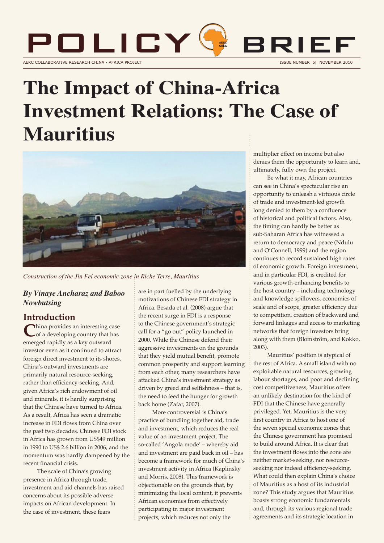

# **The Impact of China-Africa Investment Relations: The Case of Mauritius**



*Construction of the Jin Fei economic zone in Riche Terre, Mauritius*

#### *By Vinaye Ancharaz and Baboo Nowbutsing*

**Introduction**<br> **China provides an interesting case C**hina provides an interesting case<br>
of a developing country that has emerged rapidly as a key outward investor even as it continued to attract foreign direct investment to its shores. China's outward investments are primarily natural resource-seeking, rather than efficiency-seeking. And, given Africa's rich endowment of oil and minerals, it is hardly surprising that the Chinese have turned to Africa. As a result, Africa has seen a dramatic increase in FDI flows from China over the past two decades. Chinese FDI stock in Africa has grown from US\$49 million in 1990 to US\$ 2.6 billion in 2006, and the momentum was hardly dampened by the recent financial crisis.

The scale of China's growing presence in Africa through trade, investment and aid channels has raised concerns about its possible adverse impacts on African development. In the case of investment, these fears

are in part fuelled by the underlying motivations of Chinese FDI strategy in Africa. Besada et al. (2008) argue that the recent surge in FDI is a response to the Chinese government's strategic call for a "go out" policy launched in 2000. While the Chinese defend their aggressive investments on the grounds that they yield mutual benefit, promote common prosperity and support learning from each other, many researchers have attacked China's investment strategy as driven by greed and selfishness – that is, the need to feed the hunger for growth back home (Zafar, 2007).

More controversial is China's practice of bundling together aid, trade and investment, which reduces the real value of an investment project. The so-called 'Angola mode' – whereby aid and investment are paid back in oil – has become a framework for much of China's investment activity in Africa (Kaplinsky and Morris, 2008). This framework is objectionable on the grounds that, by minimizing the local content, it prevents African economies from effectively participating in major investment projects, which reduces not only the

multiplier effect on income but also denies them the opportunity to learn and, ultimately, fully own the project.

Be what it may, African countries can see in China's spectacular rise an opportunity to unleash a virtuous circle of trade and investment-led growth long denied to them by a confluence of historical and political factors. Also, the timing can hardly be better as sub-Saharan Africa has witnessed a return to democracy and peace (Ndulu and O'Connell, 1999) and the region continues to record sustained high rates of economic growth. Foreign investment, and in particular FDI, is credited for various growth-enhancing benefits to the host country – including technology and knowledge spillovers, economies of scale and of scope, greater efficiency due to competition, creation of backward and forward linkages and access to marketing networks that foreign investors bring along with them (Blomström, and Kokko, 2003).

Mauritius' position is atypical of the rest of Africa. A small island with no exploitable natural resources, growing labour shortages, and poor and declining cost competitiveness, Mauritius offers an unlikely destination for the kind of FDI that the Chinese have generally privileged. Yet, Mauritius is the very first country in Africa to host one of the seven special economic zones that the Chinese government has promised to build around Africa. It is clear that the investment flows into the zone are neither market-seeking, nor resourceseeking nor indeed efficiency-seeking. What could then explain China's choice of Mauritius as a host of its industrial zone? This study argues that Mauritius boasts strong economic fundamentals and, through its various regional trade agreements and its strategic location in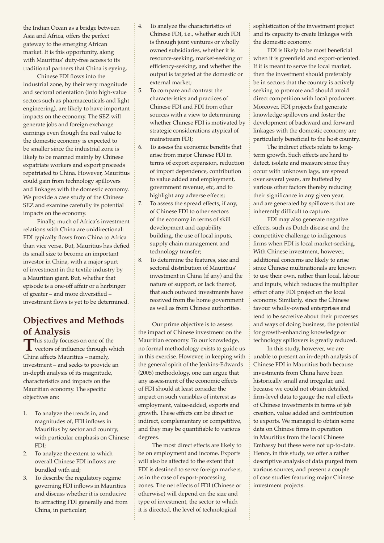the Indian Ocean as a bridge between Asia and Africa, offers the perfect gateway to the emerging African market. It is this opportunity, along with Mauritius' duty-free access to its traditional partners that China is eyeing.

Chinese FDI flows into the industrial zone, by their very magnitude and sectoral orientation (into high-value sectors such as pharmaceuticals and light engineering), are likely to have important impacts on the economy. The SEZ will generate jobs and foreign exchange earnings even though the real value to the domestic economy is expected to be smaller since the industrial zone is likely to be manned mainly by Chinese expatriate workers and export proceeds repatriated to China. However, Mauritius could gain from technology spillovers and linkages with the domestic economy. We provide a case study of the Chinese SEZ and examine carefully its potential impacts on the economy.

Finally, much of Africa's investment relations with China are unidirectional: FDI typically flows from China to Africa than vice versa. But, Mauritius has defied its small size to become an important investor in China, with a major spurt of investment in the textile industry by a Mauritian giant. But, whether that episode is a one-off affair or a harbinger of greater – and more diversified – investment flows is yet to be determined.

### **Objectives and Methods of Analysis**

**T**his study focuses on one of the vectors of influence through which China affects Mauritius – namely, investment – and seeks to provide an in-depth analysis of its magnitude, characteristics and impacts on the Mauritian economy. The specific objectives are:

- 1. To analyze the trends in, and magnitudes of, FDI inflows in Mauritius by sector and country, with particular emphasis on Chinese FDI;
- 2. To analyze the extent to which overall Chinese FDI inflows are bundled with aid;
- 3. To describe the regulatory regime governing FDI inflows in Mauritius and discuss whether it is conducive to attracting FDI generally and from China, in particular;
- 4. To analyze the characteristics of Chinese FDI, i.e., whether such FDI is through joint ventures or wholly owned subsidiaries, whether it is resource-seeking, market-seeking or efficiency-seeking, and whether the output is targeted at the domestic or external market;
- 5. To compare and contrast the characteristics and practices of Chinese FDI and FDI from other sources with a view to determining whether Chinese FDI is motivated by strategic considerations atypical of mainstream FDI;
- 6. To assess the economic benefits that arise from major Chinese FDI in terms of export expansion, reduction of import dependence, contribution to value added and employment, government revenue, etc, and to highlight any adverse effects;
- 7. To assess the spread effects, if any, of Chinese FDI to other sectors of the economy in terms of skill development and capability building, the use of local inputs, supply chain management and technology transfer;
- 8. To determine the features, size and sectoral distribution of Mauritius' investment in China (if any) and the nature of support, or lack thereof, that such outward investments have received from the home government as well as from Chinese authorities.

Our prime objective is to assess the impact of Chinese investment on the Mauritian economy. To our knowledge, no formal methodology exists to guide us in this exercise. However, in keeping with the general spirit of the Jenkins-Edwards (2005) methodology, one can argue that any assessment of the economic effects of FDI should at least consider the impact on such variables of interest as employment, value-added, exports and growth. These effects can be direct or indirect, complementary or competitive, and they may be quantifiable to various degrees.

The most direct effects are likely to be on employment and income. Exports will also be affected to the extent that FDI is destined to serve foreign markets, as in the case of export-processing zones. The net effects of FDI (Chinese or otherwise) will depend on the size and type of investment, the sector to which it is directed, the level of technological

sophistication of the investment project and its capacity to create linkages with the domestic economy.

FDI is likely to be most beneficial when it is greenfield and export-oriented. If it is meant to serve the local market, then the investment should preferably be in sectors that the country is actively seeking to promote and should avoid direct competition with local producers. Moreover, FDI projects that generate knowledge spillovers and foster the development of backward and forward linkages with the domestic economy are particularly beneficial to the host country.

The indirect effects relate to longterm growth. Such effects are hard to detect, isolate and measure since they occur with unknown lags, are spread over several years, are buffeted by various other factors thereby reducing their significance in any given year, and are generated by spillovers that are inherently difficult to capture.

FDI may also generate negative effects, such as Dutch disease and the competitive challenge to indigenous firms when FDI is local market-seeking. With Chinese investment, however, additional concerns are likely to arise since Chinese multinationals are known to use their own, rather than local, labour and inputs, which reduces the multiplier effect of any FDI project on the local economy. Similarly, since the Chinese favour wholly-owned enterprises and tend to be secretive about their processes and ways of doing business, the potential for growth-enhancing knowledge or technology spillovers is greatly reduced.

In this study, however, we are unable to present an in-depth analysis of Chinese FDI in Mauritius both because investments from China have been historically small and irregular, and because we could not obtain detailed, firm-level data to gauge the real effects of Chinese investments in terms of job creation, value added and contribution to exports. We managed to obtain some data on Chinese firms in operation in Mauritius from the local Chinese Embassy but these were not up-to-date. Hence, in this study, we offer a rather descriptive analysis of data purged from various sources, and present a couple of case studies featuring major Chinese investment projects.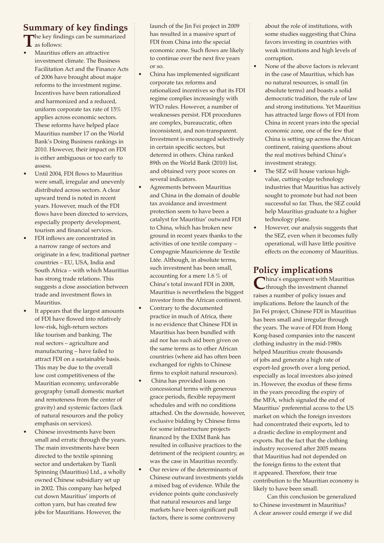# **Summary of key findings**

**T**he key findings can be summarized as follows:

- Mauritius offers an attractive investment climate. The Business Facilitation Act and the Finance Acts of 2006 have brought about major reforms to the investment regime. Incentives have been rationalized and harmonized and a reduced, uniform corporate tax rate of 15% applies across economic sectors. These reforms have helped place Mauritius number 17 on the World Bank's Doing Business rankings in 2010. However, their impact on FDI is either ambiguous or too early to assess.
- Until 2004, FDI flows to Mauritius were small, irregular and unevenly distributed across sectors. A clear upward trend is noted in recent years. However, much of the FDI flows have been directed to services, especially property development, tourism and financial services.
- FDI inflows are concentrated in a narrow range of sectors and originate in a few, traditional partner countries – EU, USA, India and South Africa – with which Mauritius has strong trade relations. This suggests a close association between trade and investment flows in Mauritius.
- It appears that the largest amounts of FDI have flowed into relatively low-risk, high-return sectors like tourism and banking. The real sectors – agriculture and manufacturing – have failed to attract FDI on a sustainable basis. This may be due to the overall low cost competitiveness of the Mauritian economy, unfavorable geography (small domestic market and remoteness from the center of gravity) and systemic factors (lack of natural resources and the policy emphasis on services).
- Chinese investments have been small and erratic through the years. The main investments have been directed to the textile spinning sector and undertaken by Tianli Spinning (Mauritius) Ltd., a wholly owned Chinese subsidiary set up in 2002. This company has helped cut down Mauritius' imports of cotton yarn, but has created few jobs for Mauritians. However, the

launch of the Jin Fei project in 2009 has resulted in a massive spurt of FDI from China into the special economic zone. Such flows are likely to continue over the next five years or so.

- China has implemented significant corporate tax reforms and rationalized incentives so that its FDI regime complies increasingly with WTO rules. However, a number of weaknesses persist. FDI procedures are complex, bureaucratic, often inconsistent, and non-transparent. Investment is encouraged selectively in certain specific sectors, but deterred in others. China ranked 89th on the World Bank (2010) list, and obtained very poor scores on several indicators.
- Agreements between Mauritius and China in the domain of double tax avoidance and investment protection seem to have been a catalyst for Mauritius' outward FDI to China, which has broken new ground in recent years thanks to the activities of one textile company – Compagnie Mauricienne de Textile Ltée. Although, in absolute terms, such investment has been small, accounting for a mere 1.6 % of China's total inward FDI in 2008, Mauritius is nevertheless the biggest investor from the African continent.
- Contrary to the documented practice in much of Africa, there is no evidence that Chinese FDI in Mauritius has been bundled with aid nor has such aid been given on the same terms as to other African countries (where aid has often been exchanged for rights to Chinese firms to exploit natural resources).
- China has provided loans on concessional terms with generous grace periods, flexible repayment schedules and with no conditions attached. On the downside, however, exclusive bidding by Chinese firms for some infrastructure projects financed by the EXIM Bank has resulted in collusive practices to the detriment of the recipient country, as was the case in Mauritius recently.
- Our review of the determinants of Chinese outward investments yields a mixed bag of evidence. While the evidence points quite conclusively that natural resources and large markets have been significant pull factors, there is some controversy

about the role of institutions, with some studies suggesting that China favors investing in countries with weak institutions and high levels of corruption.

- None of the above factors is relevant in the case of Mauritius, which has no natural resources, is small (in absolute terms) and boasts a solid democratic tradition, the rule of law and strong institutions. Yet Mauritius has attracted large flows of FDI from China in recent years into the special economic zone, one of the few that China is setting up across the African continent, raising questions about the real motives behind China's investment strategy.
- The SEZ will house various highvalue, cutting-edge technology industries that Mauritius has actively sought to promote but had not been successful so far. Thus, the SEZ could help Mauritius graduate to a higher technology plane.
- However, our analysis suggests that the SEZ, even when it becomes fully operational, will have little positive effects on the economy of Mauritius.

**Policy implications**<br>China's engagement with Mauritius China's engagement with Mauritius<br>
through the investment channel raises a number of policy issues and implications. Before the launch of the Jin Fei project, Chinese FDI in Mauritius has been small and irregular through the years. The wave of FDI from Hong Kong-based companies into the nascent clothing industry in the mid-1980s helped Mauritius create thousands of jobs and generate a high rate of export-led growth over a long period, especially as local investors also joined in. However, the exodus of these firms in the years preceding the expiry of the MFA, which signaled the end of Mauritius' preferential access to the US market on which the foreign investors had concentrated their exports, led to a drastic decline in employment and exports. But the fact that the clothing industry recovered after 2005 means that Mauritius had not depended on the foreign firms to the extent that it appeared. Therefore, their true contribution to the Mauritian economy is likely to have been small.

Can this conclusion be generalized to Chinese investment in Mauritius? A clear answer could emerge if we did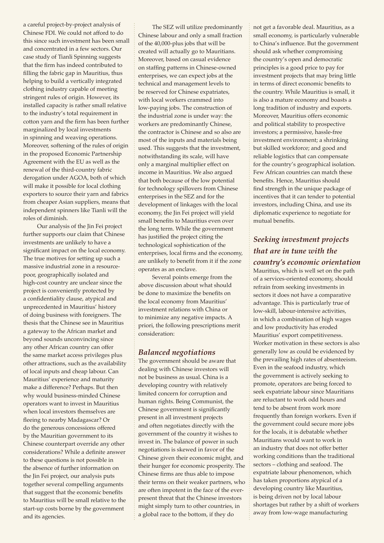a careful project-by-project analysis of Chinese FDI. We could not afford to do this since such investment has been small and concentrated in a few sectors. Our case study of Tianli Spinning suggests that the firm has indeed contributed to filling the fabric gap in Mauritius, thus helping to build a vertically integrated clothing industry capable of meeting stringent rules of origin. However, its installed capacity is rather small relative to the industry's total requirement in cotton yarn and the firm has been further marginalized by local investments in spinning and weaving operations. Moreover, softening of the rules of origin in the proposed Economic Partnership Agreement with the EU as well as the renewal of the third-country fabric derogation under AGOA, both of which will make it possible for local clothing exporters to source their yarn and fabrics from cheaper Asian suppliers, means that independent spinners like Tianli will the roles of diminish.

Our analysis of the Jin Fei project further supports our claim that Chinese investments are unlikely to have a significant impact on the local economy. The true motives for setting up such a massive industrial zone in a resourcepoor, geographically isolated and high-cost country are unclear since the project is conveniently protected by a confidentiality clause, atypical and unprecedented in Mauritius' history of doing business with foreigners. The thesis that the Chinese see in Mauritius a gateway to the African market and beyond sounds unconvincing since any other African country can offer the same market access privileges plus other attractions, such as the availability of local inputs and cheap labour. Can Mauritius' experience and maturity make a difference? Perhaps. But then why would business-minded Chinese operators want to invest in Mauritius when local investors themselves are fleeing to nearby Madagascar? Or do the generous concessions offered by the Mauritian government to its Chinese counterpart override any other considerations? While a definite answer to these questions is not possible in the absence of further information on the Jin Fei project, our analysis puts together several compelling arguments that suggest that the economic benefits to Mauritius will be small relative to the start-up costs borne by the government and its agencies.

The SEZ will utilize predominantly Chinese labour and only a small fraction of the 40,000-plus jobs that will be created will actually go to Mauritians. Moreover, based on casual evidence on staffing patterns in Chinese-owned enterprises, we can expect jobs at the technical and management levels to be reserved for Chinese expatriates, with local workers crammed into low-paying jobs. The construction of the industrial zone is under way: the workers are predominantly Chinese, the contractor is Chinese and so also are most of the inputs and materials being used. This suggests that the investment, notwithstanding its scale, will have only a marginal multiplier effect on income in Mauritius. We also argued that both because of the low potential for technology spillovers from Chinese enterprises in the SEZ and for the development of linkages with the local economy, the Jin Fei project will yield small benefits to Mauritius even over the long term. While the government has justified the project citing the technological sophistication of the enterprises, local firms and the economy, are unlikely to benefit from it if the zone operates as an enclave.

Several points emerge from the above discussion about what should be done to maximize the benefits on the local economy from Mauritius' investment relations with China or to minimize any negative impacts. A priori, the following prescriptions merit consideration:

#### *Balanced negotiations*

The government should be aware that dealing with Chinese investors will not be business as usual. China is a developing country with relatively limited concern for corruption and human rights. Being Communist, the Chinese government is significantly present in all investment projects and often negotiates directly with the government of the country it wishes to invest in. The balance of power in such negotiations is skewed in favor of the Chinese given their economic might, and their hunger for economic prosperity. The Chinese firms are thus able to impose their terms on their weaker partners, who are often impotent in the face of the everpresent threat that the Chinese investors might simply turn to other countries, in a global race to the bottom, if they do

not get a favorable deal. Mauritius, as a small economy, is particularly vulnerable to China's influence. But the government should ask whether compromising the country's open and democratic principles is a good price to pay for investment projects that may bring little in terms of direct economic benefits to the country. While Mauritius is small, it is also a mature economy and boasts a long tradition of industry and exports. Moreover, Mauritius offers economic and political stability to prospective investors; a permissive, hassle-free investment environment; a shrinking but skilled workforce; and good and reliable logistics that can compensate for the country's geographical isolation. Few African countries can match these benefits. Hence, Mauritius should find strength in the unique package of incentives that it can tender to potential investors, including China, and use its diplomatic experience to negotiate for mutual benefits.

### *Seeking investment projects that are in tune with the country's economic orientation*

Mauritius, which is well set on the path of a services-oriented economy, should refrain from seeking investments in sectors it does not have a comparative advantage. This is particularly true of low-skill, labour-intensive activities, in which a combination of high wages and low productivity has eroded Mauritius' export competitiveness. Worker motivation in these sectors is also generally low as could be evidenced by the prevailing high rates of absenteeism. Even in the seafood industry, which the government is actively seeking to promote, operators are being forced to seek expatriate labour since Mauritians are reluctant to work odd hours and tend to be absent from work more frequently than foreign workers. Even if the government could secure more jobs for the locals, it is debatable whether Mauritians would want to work in an industry that does not offer better working conditions than the traditional sectors – clothing and seafood. The expatriate labour phenomenon, which has taken proportions atypical of a developing country like Mauritius, is being driven not by local labour shortages but rather by a shift of workers away from low-wage manufacturing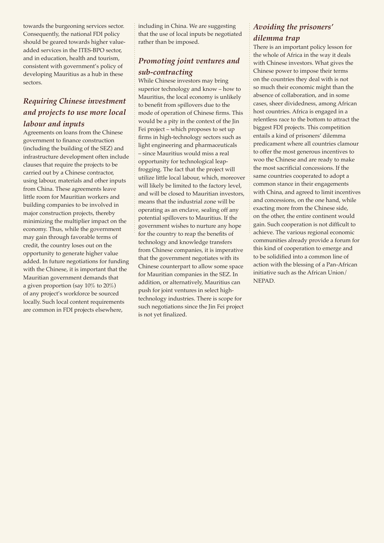towards the burgeoning services sector. Consequently, the national FDI policy should be geared towards higher valueadded services in the ITES-BPO sector, and in education, health and tourism, consistent with government's policy of developing Mauritius as a hub in these sectors.

#### *Requiring Chinese investment and projects to use more local labour and inputs*

Agreements on loans from the Chinese government to finance construction (including the building of the SEZ) and infrastructure development often include clauses that require the projects to be carried out by a Chinese contractor, using labour, materials and other inputs from China. These agreements leave little room for Mauritian workers and building companies to be involved in major construction projects, thereby minimizing the multiplier impact on the economy. Thus, while the government may gain through favorable terms of credit, the country loses out on the opportunity to generate higher value added. In future negotiations for funding with the Chinese, it is important that the Mauritian government demands that a given proportion (say 10% to 20%) of any project's workforce be sourced locally. Such local content requirements are common in FDI projects elsewhere,

including in China. We are suggesting that the use of local inputs be negotiated rather than be imposed.

## *Promoting joint ventures and sub-contracting*

While Chinese investors may bring superior technology and know – how to Mauritius, the local economy is unlikely to benefit from spillovers due to the mode of operation of Chinese firms. This would be a pity in the context of the Jin Fei project – which proposes to set up firms in high-technology sectors such as light engineering and pharmaceuticals – since Mauritius would miss a real opportunity for technological leapfrogging. The fact that the project will utilize little local labour, which, moreover will likely be limited to the factory level, and will be closed to Mauritian investors, means that the industrial zone will be operating as an enclave, sealing off any potential spillovers to Mauritius. If the government wishes to nurture any hope for the country to reap the benefits of technology and knowledge transfers from Chinese companies, it is imperative that the government negotiates with its Chinese counterpart to allow some space for Mauritian companies in the SEZ. In addition, or alternatively, Mauritius can push for joint ventures in select hightechnology industries. There is scope for such negotiations since the Jin Fei project is not yet finalized.

### *Avoiding the prisoners' dilemma trap*

There is an important policy lesson for the whole of Africa in the way it deals with Chinese investors. What gives the Chinese power to impose their terms on the countries they deal with is not so much their economic might than the absence of collaboration, and in some cases, sheer dividedness, among African host countries. Africa is engaged in a relentless race to the bottom to attract the biggest FDI projects. This competition entails a kind of prisoners' dilemma predicament where all countries clamour to offer the most generous incentives to woo the Chinese and are ready to make the most sacrificial concessions. If the same countries cooperated to adopt a common stance in their engagements with China, and agreed to limit incentives and concessions, on the one hand, while exacting more from the Chinese side, on the other, the entire continent would gain. Such cooperation is not difficult to achieve. The various regional economic communities already provide a forum for this kind of cooperation to emerge and to be solidified into a common line of action with the blessing of a Pan-African initiative such as the African Union/ NEPAD.